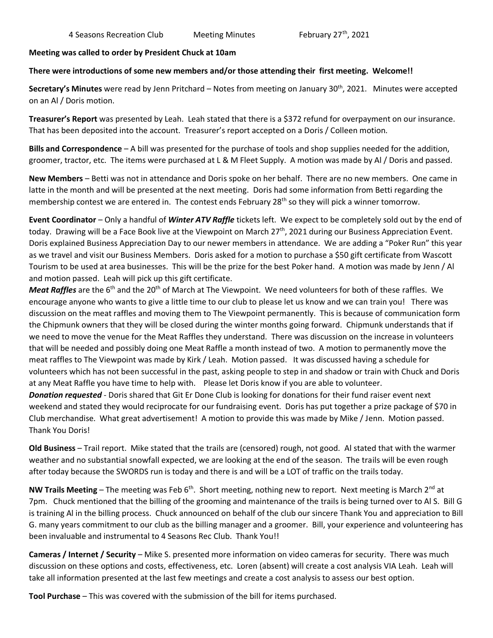## **Meeting was called to order by President Chuck at 10am**

## **There were introductions of some new members and/or those attending their first meeting. Welcome!!**

Secretary's Minutes were read by Jenn Pritchard – Notes from meeting on January 30<sup>th</sup>, 2021. Minutes were accepted on an Al / Doris motion.

**Treasurer's Report** was presented by Leah. Leah stated that there is a \$372 refund for overpayment on our insurance. That has been deposited into the account. Treasurer's report accepted on a Doris / Colleen motion.

**Bills and Correspondence** – A bill was presented for the purchase of tools and shop supplies needed for the addition, groomer, tractor, etc. The items were purchased at L & M Fleet Supply. A motion was made by Al / Doris and passed.

**New Members** – Betti was not in attendance and Doris spoke on her behalf. There are no new members. One came in latte in the month and will be presented at the next meeting. Doris had some information from Betti regarding the membership contest we are entered in. The contest ends February  $28<sup>th</sup>$  so they will pick a winner tomorrow.

**Event Coordinator** – Only a handful of *Winter ATV Raffle* tickets left. We expect to be completely sold out by the end of today. Drawing will be a Face Book live at the Viewpoint on March 27<sup>th</sup>, 2021 during our Business Appreciation Event. Doris explained Business Appreciation Day to our newer members in attendance. We are adding a "Poker Run" this year as we travel and visit our Business Members. Doris asked for a motion to purchase a \$50 gift certificate from Wascott Tourism to be used at area businesses. This will be the prize for the best Poker hand. A motion was made by Jenn / Al and motion passed. Leah will pick up this gift certificate.

*Meat Raffles* are the 6<sup>th</sup> and the 20<sup>th</sup> of March at The Viewpoint. We need volunteers for both of these raffles. We encourage anyone who wants to give a little time to our club to please let us know and we can train you! There was discussion on the meat raffles and moving them to The Viewpoint permanently. This is because of communication form the Chipmunk owners that they will be closed during the winter months going forward. Chipmunk understands that if we need to move the venue for the Meat Raffles they understand. There was discussion on the increase in volunteers that will be needed and possibly doing one Meat Raffle a month instead of two. A motion to permanently move the meat raffles to The Viewpoint was made by Kirk / Leah. Motion passed. It was discussed having a schedule for volunteers which has not been successful in the past, asking people to step in and shadow or train with Chuck and Doris at any Meat Raffle you have time to help with. Please let Doris know if you are able to volunteer.

*Donation requested* - Doris shared that Git Er Done Club is looking for donations for their fund raiser event next weekend and stated they would reciprocate for our fundraising event. Doris has put together a prize package of \$70 in Club merchandise. What great advertisement! A motion to provide this was made by Mike / Jenn. Motion passed. Thank You Doris!

**Old Business** – Trail report. Mike stated that the trails are (censored) rough, not good. Al stated that with the warmer weather and no substantial snowfall expected, we are looking at the end of the season. The trails will be even rough after today because the SWORDS run is today and there is and will be a LOT of traffic on the trails today.

**NW Trails Meeting** – The meeting was Feb 6<sup>th</sup>. Short meeting, nothing new to report. Next meeting is March 2<sup>nd</sup> at 7pm. Chuck mentioned that the billing of the grooming and maintenance of the trails is being turned over to Al S. Bill G is training Al in the billing process. Chuck announced on behalf of the club our sincere Thank You and appreciation to Bill G. many years commitment to our club as the billing manager and a groomer. Bill, your experience and volunteering has been invaluable and instrumental to 4 Seasons Rec Club. Thank You!!

**Cameras / Internet / Security** – Mike S. presented more information on video cameras for security. There was much discussion on these options and costs, effectiveness, etc. Loren (absent) will create a cost analysis VIA Leah. Leah will take all information presented at the last few meetings and create a cost analysis to assess our best option.

**Tool Purchase** – This was covered with the submission of the bill for items purchased.